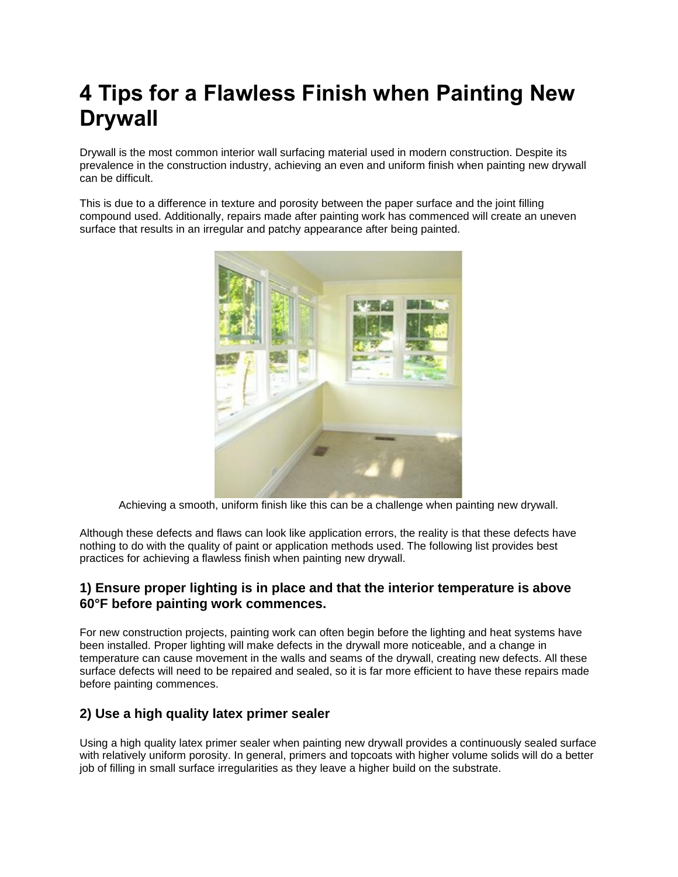# **4 Tips for a Flawless Finish when Painting New Drywall**

Drywall is the most common interior wall surfacing material used in modern construction. Despite its prevalence in the construction industry, achieving an even and uniform finish when painting new drywall can be difficult.

This is due to a difference in texture and porosity between the paper surface and the joint filling compound used. Additionally, repairs made after painting work has commenced will create an uneven surface that results in an irregular and patchy appearance after being painted.



Achieving a smooth, uniform finish like this can be a challenge when painting new drywall.

Although these defects and flaws can look like application errors, the reality is that these defects have nothing to do with the quality of paint or application methods used. The following list provides best practices for achieving a flawless finish when painting new drywall.

### **1) Ensure proper lighting is in place and that the interior temperature is above 60°F before painting work commences.**

For new construction projects, painting work can often begin before the lighting and heat systems have been installed. Proper lighting will make defects in the drywall more noticeable, and a change in temperature can cause movement in the walls and seams of the drywall, creating new defects. All these surface defects will need to be repaired and sealed, so it is far more efficient to have these repairs made before painting commences.

### **2) Use a high quality latex primer sealer**

Using a high quality latex primer sealer when painting new drywall provides a continuously sealed surface with relatively uniform porosity. In general, primers and topcoats with higher volume solids will do a better job of filling in small surface irregularities as they leave a higher build on the substrate.